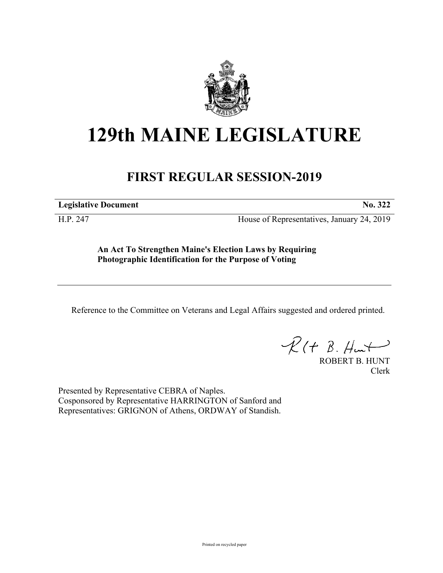

## **129th MAINE LEGISLATURE**

## **FIRST REGULAR SESSION-2019**

**Legislative Document No. 322**

H.P. 247 House of Representatives, January 24, 2019

**An Act To Strengthen Maine's Election Laws by Requiring Photographic Identification for the Purpose of Voting**

Reference to the Committee on Veterans and Legal Affairs suggested and ordered printed.

 $R(t B. Hmt)$ 

ROBERT B. HUNT Clerk

Presented by Representative CEBRA of Naples. Cosponsored by Representative HARRINGTON of Sanford and Representatives: GRIGNON of Athens, ORDWAY of Standish.